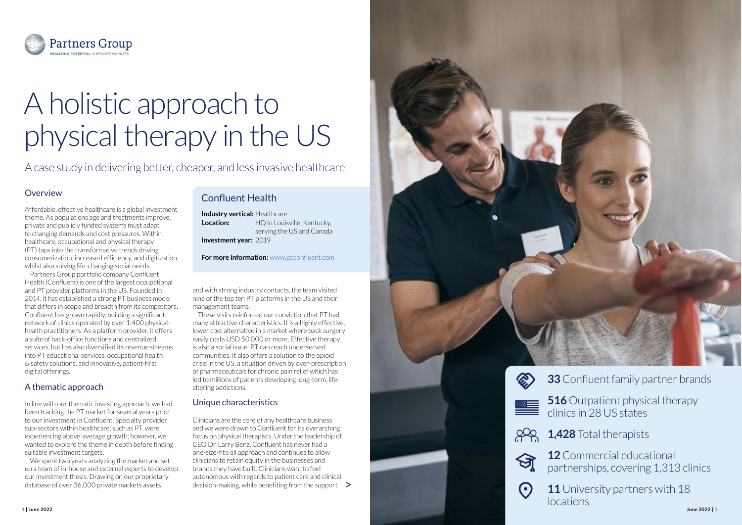

# A holistic approach to physical therapy in the US

A case study in delivering better, cheaper, and less invasive healthcare

#### A thematic approach

Affordable, effective healthcare is a global investment theme. As populations age and treatments improve, private and publicly funded systems must adapt to changing demands and cost pressures. Within healthcare, occupational and physical therapy (PT) taps into the transformative trends driving consumerization, increased efficiency, and digitization, whilst also solving life-changing social needs.

Partners Group portfolio company Confluent Health (Confluent) is one of the largest occupational and PT provider platforms in the US. Founded in 2014, it has established a strong PT business model that differs in scope and breadth from its competitors. Confluent has grown rapidly, building a significant network of clinics operated by over 1,400 physicalhealth practitioners. As a platform provider, it offers a suite of back-office functions and centralized services, but has also diversified its revenue streams into PT educational services, occupational health & safety solutions, and innovative, patient-first digital offerings.

In line with our thematic investing approach, we had been tracking the PT market for several years prior to our investment in Confluent. Specialty provider sub-sectors within healthcare, such as PT, were experiencing above-average growth; however, we wanted to explore the theme in depth before finding suitable investment targets.

We spent two years analyzing the market and set up a team of in-house and external experts to develop our investment thesis. Drawing on our proprietary database of over 36,000 private markets assets,

## Overview **Confluent Health**

| <b>Industry vertical: Healthcare</b> |                             |
|--------------------------------------|-----------------------------|
| Location:                            | HQ in Louisville, Kentucky, |
|                                      | serving the US and Canada   |
| <b>Investment year: 2019</b>         |                             |

**For more information:** [www.goconfluent.com](http://goconfluent.com)

and with strong industry contacts, the team visited nine of the top ten PT platforms in the US and their management teams.

These visits reinforced our conviction that PT had many attractive characteristics. It is a highly effective, lower cost alternative in a market where back surgery easily costs USD 50,000 or more. Effective therapy is also a social issue: PT can reach underserved communities. It also offers a solution to the opioid crisis in the US, a situation driven by over-prescription of pharmaceuticals for chronic pain relief which has led to millions of patients developing long-term, lifealtering addictions.



## Unique characteristics

Clinicians are the core of any healthcare business and we were drawn to Confluent for its overarching focus on physical therapists. Under the leadership of CEO Dr. Larry Benz, Confluent has never had a one-size-fits-all approach and continues to allow clinicians to retain equity in the businesses and brands they have built. Clinicians want to feel autonomous with regards to patient care and clinical decision-making, while benefiting from the support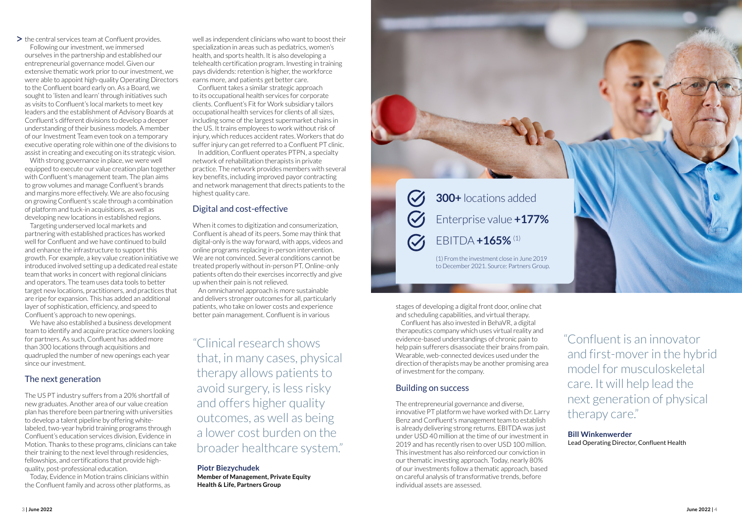#### The next generation

The US PT industry suffers from a 20% shortfall of new graduates. Another area of our value creation plan has therefore been partnering with universities to develop a talent pipeline by offering whitelabeled, two-year hybrid training programs through Confluent's education services division, Evidence in Motion. Thanks to these programs, clinicians can take their training to the next level through residencies, fellowships, and certifications that provide highquality, post-professional education.

Today, Evidence in Motion trains clinicians within the Confluent family and across other platforms, as "Clinical research shows that, in many cases, physical therapy allows patients to avoid surgery, is less risky and offers higher quality outcomes, as well as being a lower cost burden on the broader healthcare system."

#### **Piotr Biezychudek**

**Member of Management, Private Equity Health & Life, Partners Group**

"Confluent is an innovator and first-mover in the hybrid model for musculoskeletal care. It will help lead the next generation of physical therapy care."

**Bill Winkenwerder** Lead Operating Director, Confluent Health



 $\triangleright$  the central services team at Confluent provides.

Following our investment, we immersed ourselves in the partnership and established our entrepreneurial governance model. Given our extensive thematic work prior to our investment, we were able to appoint high-quality Operating Directors to the Confluent board early on. As a Board, we sought to 'listen and learn' through initiatives such as visits to Confluent's local markets to meet key leaders and the establishment of Advisory Boards at Confluent's different divisions to develop a deeper understanding of their business models. A member of our Investment Team even took on a temporary executive operating role within one of the divisions to assist in creating and executing on its strategic vision.

With strong governance in place, we were well equipped to execute our value creation plan together with Confluent's management team. The plan aims to grow volumes and manage Confluent's brands and margins more effectively. We are also focusing on growing Confluent's scale through a combination of platform and tuck-in acquisitions, as well as developing new locations in established regions.

Targeting underserved local markets and partnering with established practices has worked well for Confluent and we have continued to build and enhance the infrastructure to support this growth. For example, a key value creation initiative we introduced involved setting up a dedicated real estate team that works in concert with regional clinicians and operators. The team uses data tools to better target new locations, practitioners, and practices that are ripe for expansion. This has added an additional layer of sophistication, efficiency, and speed to Confluent's approach to new openings.

We have also established a business development team to identify and acquire practice owners looking for partners. As such, Confluent has added more than 300 locations through acquisitions and quadrupled the number of new openings each year since our investment.

### Building on success

### Digital and cost-effective

The entrepreneurial governance and diverse, innovative PT platform we have worked with Dr. Larry Benz and Confluent's management team to establish is already delivering strong returns. EBITDA was just under USD 40 million at the time of our investment in 2019 and has recently risen to over USD 100 million. This investment has also reinforced our conviction in our thematic investing approach. Today, nearly 80% of our investments follow a thematic approach, based on careful analysis of transformative trends, before individual assets are assessed.

When it comes to digitization and consumerization, Confluent is ahead of its peers. Some may think that digital-only is the way forward, with apps, videos and online programs replacing in-person intervention. We are not convinced. Several conditions cannot be treated properly without in-person PT. Online-only patients often do their exercises incorrectly and give up when their pain is not relieved.

An omnichannel approach is more sustainable and delivers stronger outcomes for all, particularly patients, who take on lower costs and experience better pain management. Confluent is in various

well as independent clinicians who want to boost their specialization in areas such as pediatrics, women's health, and sports health. It is also developing a telehealth certification program. Investing in training pays dividends: retention is higher, the workforce earns more, and patients get better care.

Confluent takes a similar strategic approach to its occupational health services for corporate clients. Confluent's Fit for Work subsidiary tailors occupational health services for clients of all sizes, including some of the largest supermarket chains in the US. It trains employees to work without risk of injury, which reduces accident rates. Workers that do suffer injury can get referred to a Confluent PT clinic.

In addition, Confluent operates PTPN, a specialty network of rehabilitation therapists in private practice. The network provides members with several key benefits, including improved payor contracting and network management that directs patients to the highest quality care.

> stages of developing a digital front door, online chat and scheduling capabilities, and virtual therapy.

Confluent has also invested in BehaVR, a digital therapeutics company which uses virtual reality and evidence-based understandings of chronic pain to help pain sufferers disassociate their brains from pain. Wearable, web-connected devices used under the direction of therapists may be another promising area of investment for the company.